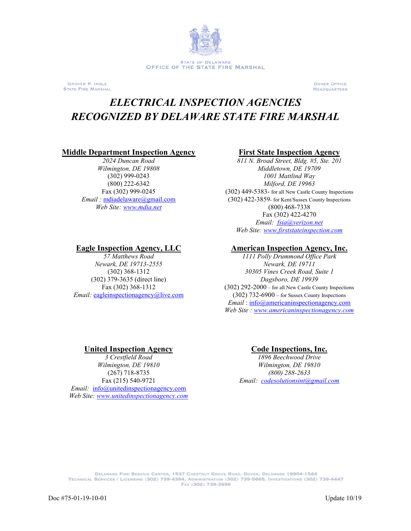

**GROVER P. INGLE** STATE FIRE MARSHAL **DOVER OFFICE HEADQUARTERS** 

# *ELECTRICAL INSPECTION AGENCIES RECOGNIZED BY DELAWARE STATE FIRE MARSHAL*

### **Middle Department Inspection Agency First State Inspection Agency**

*2024 Duncan Road Wilmington, DE 19808* (302) 999-0243 (800) 222-6342 Fax (302) 999-0245 *Email :* [mdiadelaware@gmail.com](mailto:mdiadelaware@gmail.com) *Web Site[: www.mdia.net](http://www.mdia.net/)*

*57 Matthews Road Newark, DE 19713-2555* (302) 368-1312 (302) 379-3635 (direct line) Fax (302) 368-1312 *Email:* [eagleinspectionagency@live.com](mailto:eagleinspectionagency@live.com)

*811 N. Broad Street, Bldg. #5, Ste. 201 Middletown, DE 19709 1001 Mattlind Way Milford, DE 19963* (302) 449-5383- for all New Castle County Inspections (302) 422-3859- for Kent/Sussex County Inspections (800) 468-7338 Fax (302) 422-4270 *Email: [fsia@verizon.net](mailto:fsia@verizon.net)*

*Web Site: [www.firststateinspection.com](http://www.firststateinspection.com/)*

### **Eagle Inspection Agency, LLC American Inspection Agency, Inc.**

*1111 Polly Drummond Office Park Newark, DE 19711 30305 Vines Creek Road, Suite 1 Dagsboro, DE 19939* (302) 292-2000 – for all New Castle County Inspections (302) 732-6900 – for Sussex County Inspections *Email* : [info@americaninspectionagency.com](mailto:info@americaninspectionagency.com) *Web Site : [www.americaninspectionagency.com](http://www.americaninspectionagency.com/)*

## **United Inspection Agency Code Inspections, Inc.**

*3 Crestfield Road Wilmington, DE 19810* (267) 718-8735 Fax (215) 540-9721 *Email:* [info@unitedinspectionagency.com](mailto:info@unitedinspectionagency.com) *Web Site: [www.unitedinspectionagency.com](http://www.unitedinspectionagency.com/)*

*1896 Beechwood Drive Wilmington, DE 19810 (800) 288-2633 Email: [codesolutionsint@gmail.com](mailto:codesolutionsint@gmail.com)*

DELAWARE FIRE SERVICE CENTER, 1537 CHESTNUT GROVE ROAD, DOVER, DELAWARE 19904-1544 TECHNICAL SERVICES / LICENSING (302) 739-4394, ADMINISTRATION (302) 739-5665, INVESTIGATIONS (302) 739-4447 FAX (302) 739-3696